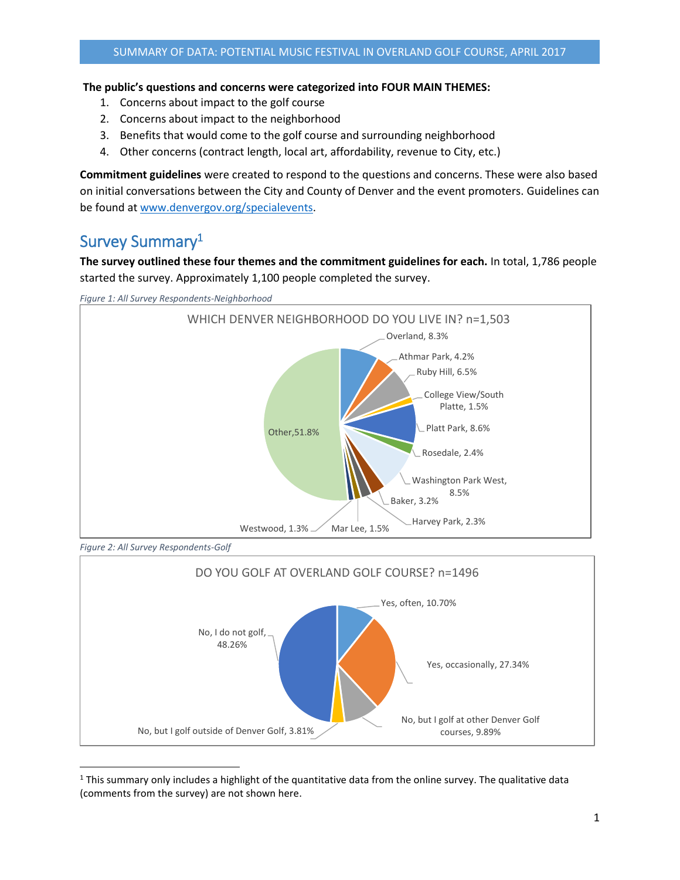#### **The public's questions and concerns were categorized into FOUR MAIN THEMES:**

- 1. Concerns about impact to the golf course
- 2. Concerns about impact to the neighborhood
- 3. Benefits that would come to the golf course and surrounding neighborhood
- 4. Other concerns (contract length, local art, affordability, revenue to City, etc.)

**Commitment guidelines** were created to respond to the questions and concerns. These were also based on initial conversations between the City and County of Denver and the event promoters. Guidelines can be found at [www.denvergov.org/specialevents.](http://www.denvergov.org/specialevents)

# Survey Summary<sup>1</sup>

**The survey outlined these four themes and the commitment guidelines for each.** In total, 1,786 people started the survey. Approximately 1,100 people completed the survey.





*Figure 2: All Survey Respondents-Golf*



l  $1$  This summary only includes a highlight of the quantitative data from the online survey. The qualitative data (comments from the survey) are not shown here.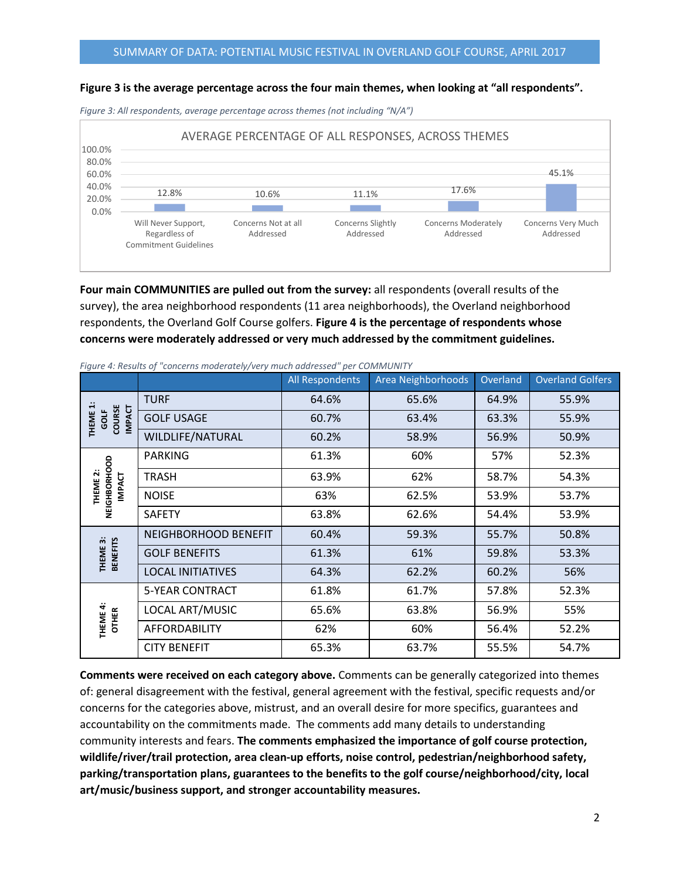#### **Figure 3 is the average percentage across the four main themes, when looking at "all respondents".**

AVERAGE PERCENTAGE OF ALL RESPONSES, ACROSS THEMES 100.0% 80.0% 45.1% 60.0% 40.0% 12.8% 10.6% 11.1% 17.6% 20.0%  $\sim 10^{11}$  m  $^{-1}$ **Contract Contract**  $\sim 10^{11}$  m  $^{-1}$ 0.0% Will Never Support, Concerns Not at all Concerns Slightly Concerns Moderately Concerns Very Much Regardless of Addressed Addressed Addressed Addressed Commitment Guidelines

*Figure 3: All respondents, average percentage across themes (not including "N/A")*

**Four main COMMUNITIES are pulled out from the survey:** all respondents (overall results of the survey), the area neighborhood respondents (11 area neighborhoods), the Overland neighborhood respondents, the Overland Golf Course golfers. **Figure 4 is the percentage of respondents whose concerns were moderately addressed or very much addressed by the commitment guidelines.**

|                                                       |                          | All Respondents | Area Neighborhoods | Overland | <b>Overland Golfers</b> |
|-------------------------------------------------------|--------------------------|-----------------|--------------------|----------|-------------------------|
| COURSE<br>IMPACT<br>GOLF<br><b>THEME</b>              | <b>TURF</b>              | 64.6%           | 65.6%              | 64.9%    | 55.9%                   |
|                                                       | <b>GOLF USAGE</b>        | 60.7%           | 63.4%              | 63.3%    | 55.9%                   |
|                                                       | WILDLIFE/NATURAL         | 60.2%           | 58.9%              | 56.9%    | 50.9%                   |
| NEIGHBORHOOD<br>THEME <sub>2</sub> :<br><b>INPACT</b> | <b>PARKING</b>           | 61.3%           | 60%                | 57%      | 52.3%                   |
|                                                       | <b>TRASH</b>             | 63.9%           | 62%                | 58.7%    | 54.3%                   |
|                                                       | <b>NOISE</b>             | 63%             | 62.5%              | 53.9%    | 53.7%                   |
|                                                       | <b>SAFETY</b>            | 63.8%           | 62.6%              | 54.4%    | 53.9%                   |
| <b>BENEFITS</b><br>THEME 3:                           | NEIGHBORHOOD BENEFIT     | 60.4%           | 59.3%              | 55.7%    | 50.8%                   |
|                                                       | <b>GOLF BENEFITS</b>     | 61.3%           | 61%                | 59.8%    | 53.3%                   |
|                                                       | <b>LOCAL INITIATIVES</b> | 64.3%           | 62.2%              | 60.2%    | 56%                     |
| THEME 4:<br><b>OTHER</b>                              | <b>5-YEAR CONTRACT</b>   | 61.8%           | 61.7%              | 57.8%    | 52.3%                   |
|                                                       | LOCAL ART/MUSIC          | 65.6%           | 63.8%              | 56.9%    | 55%                     |
|                                                       | <b>AFFORDABILITY</b>     | 62%             | 60%                | 56.4%    | 52.2%                   |
|                                                       | <b>CITY BENEFIT</b>      | 65.3%           | 63.7%              | 55.5%    | 54.7%                   |

*Figure 4: Results of "concerns moderately/very much addressed" per COMMUNITY*

**Comments were received on each category above.** Comments can be generally categorized into themes of: general disagreement with the festival, general agreement with the festival, specific requests and/or concerns for the categories above, mistrust, and an overall desire for more specifics, guarantees and accountability on the commitments made. The comments add many details to understanding community interests and fears. **The comments emphasized the importance of golf course protection, wildlife/river/trail protection, area clean-up efforts, noise control, pedestrian/neighborhood safety, parking/transportation plans, guarantees to the benefits to the golf course/neighborhood/city, local art/music/business support, and stronger accountability measures.**